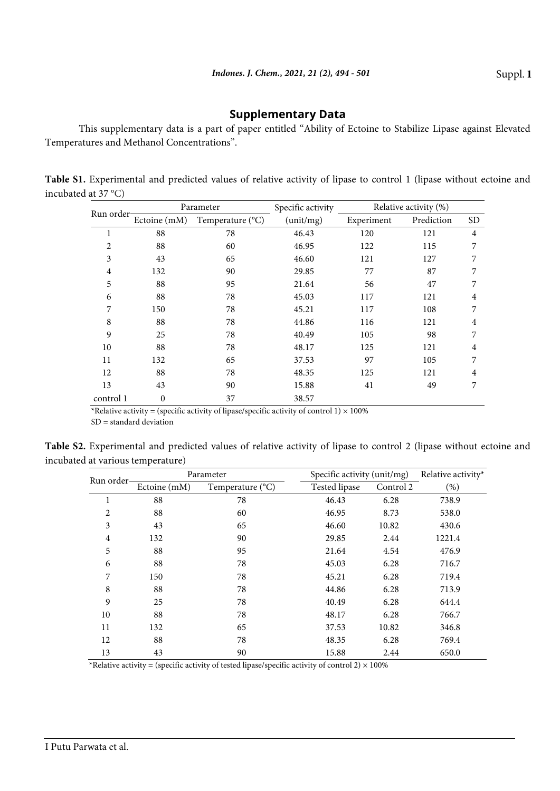## **Supplementary Data**

This supplementary data is a part of paper entitled "Ability of Ectoine to Stabilize Lipase against Elevated Temperatures and Methanol Concentrations".

**Table S1.** Experimental and predicted values of relative activity of lipase to control 1 (lipase without ectoine and incubated at 37 °C)

| Run order-     | Parameter    |                  | Specific activity | Relative activity (%) |            |           |
|----------------|--------------|------------------|-------------------|-----------------------|------------|-----------|
|                | Ectoine (mM) | Temperature (°C) | (unit/mg)         | Experiment            | Prediction | <b>SD</b> |
| 1              | 88           | 78               | 46.43             | 120                   | 121        | 4         |
| 2              | 88           | 60               | 46.95             | 122                   | 115        | 7         |
| 3              | 43           | 65               | 46.60             | 121                   | 127        |           |
| $\overline{4}$ | 132          | 90               | 29.85             | 77                    | 87         |           |
| 5              | 88           | 95               | 21.64             | 56                    | 47         | 7         |
| 6              | 88           | 78               | 45.03             | 117                   | 121        | 4         |
| 7              | 150          | 78               | 45.21             | 117                   | 108        | 7         |
| 8              | 88           | 78               | 44.86             | 116                   | 121        | 4         |
| 9              | 25           | 78               | 40.49             | 105                   | 98         | 7         |
| 10             | 88           | 78               | 48.17             | 125                   | 121        | 4         |
| 11             | 132          | 65               | 37.53             | 97                    | 105        | 7         |
| 12             | 88           | 78               | 48.35             | 125                   | 121        | 4         |
| 13             | 43           | 90               | 15.88             | 41                    | 49         | 7         |
| control 1      | $\mathbf{0}$ | 37               | 38.57             |                       |            |           |

\*Relative activity = (specific activity of lipase/specific activity of control 1)  $\times$  100%

SD = standard deviation

**Table S2.** Experimental and predicted values of relative activity of lipase to control 2 (lipase without ectoine and incubated at various temperature)

| Run order-     |              | Parameter        | Specific activity (unit/mg) | Relative activity* |        |
|----------------|--------------|------------------|-----------------------------|--------------------|--------|
|                | Ectoine (mM) | Temperature (°C) | Tested lipase               | Control 2          | (% )   |
| 1              | 88           | 78               | 46.43                       | 6.28               | 738.9  |
| $\overline{2}$ | 88           | 60               | 46.95                       | 8.73               | 538.0  |
| 3              | 43           | 65               | 46.60                       | 10.82              | 430.6  |
| 4              | 132          | 90               | 29.85                       | 2.44               | 1221.4 |
| 5              | 88           | 95               | 21.64                       | 4.54               | 476.9  |
| 6              | 88           | 78               | 45.03                       | 6.28               | 716.7  |
| 7              | 150          | 78               | 45.21                       | 6.28               | 719.4  |
| 8              | 88           | 78               | 44.86                       | 6.28               | 713.9  |
| 9              | 25           | 78               | 40.49                       | 6.28               | 644.4  |
| 10             | 88           | 78               | 48.17                       | 6.28               | 766.7  |
| 11             | 132          | 65               | 37.53                       | 10.82              | 346.8  |
| 12             | 88           | 78               | 48.35                       | 6.28               | 769.4  |
| 13             | 43           | 90               | 15.88                       | 2.44               | 650.0  |

\*Relative activity = (specific activity of tested lipase/specific activity of control 2)  $\times$  100%